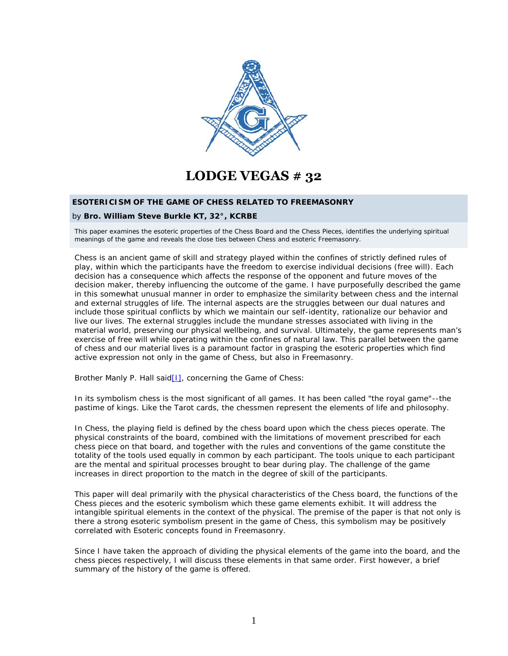

# **LODGE VEGAS # 32**

## **ESOTERICISM OF THE GAME OF CHESS RELATED TO FREEMASONRY**

### by **Bro. William Steve Burkle KT, 32°, KCRBE**

This paper examines the esoteric properties of the Chess Board and the Chess Pieces, identifies the underlying spiritual meanings of the game and reveals the close ties between Chess and esoteric Freemasonry.

Chess is an ancient game of skill and strategy played within the confines of strictly defined rules of play, within which the participants have the freedom to exercise individual decisions (free will). Each decision has a consequence which affects the response of the opponent and future moves of the decision maker, thereby influencing the outcome of the game. I have purposefully described the game in this somewhat unusual manner in order to emphasize the similarity between chess and the internal and external struggles of life. The internal aspects are the struggles between our dual natures and include those spiritual conflicts by which we maintain our self-identity, rationalize our behavior and live our lives. The external struggles include the mundane stresses associated with living in the material world, preserving our physical wellbeing, and survival. Ultimately, the game represents man's exercise of free will while operating within the confines of natural law. This parallel between the game of chess and our material lives is a paramount factor in grasping the esoteric properties which find active expression not only in the game of Chess, but also in Freemasonry.

Brother Manly P. Hall said<sup>[1]</sup>, concerning the Game of Chess:

*In its symbolism chess is the most significant of all games. It has been called "the royal game"--the pastime of kings. Like the Tarot cards, the chessmen represent the elements of life and philosophy.*

In Chess, the playing field is defined by the chess board upon which the chess pieces operate. The physical constraints of the board, combined with the limitations of movement prescribed for each chess piece on that board, and together with the rules and conventions of the game constitute the totality of the tools used equally in common by each participant. The tools unique to each participant are the mental and spiritual processes brought to bear during play. The challenge of the game increases in direct proportion to the match in the degree of skill of the participants.

This paper will deal primarily with the physical characteristics of the Chess board, the functions of the Chess pieces and the esoteric symbolism which these game elements exhibit. It will address the intangible spiritual elements in the context of the physical. The premise of the paper is that not only is there a strong esoteric symbolism present in the game of Chess, this symbolism may be positively correlated with Esoteric concepts found in Freemasonry.

Since I have taken the approach of dividing the physical elements of the game into the board, and the chess pieces respectively, I will discuss these elements in that same order. First however, a brief summary of the history of the game is offered.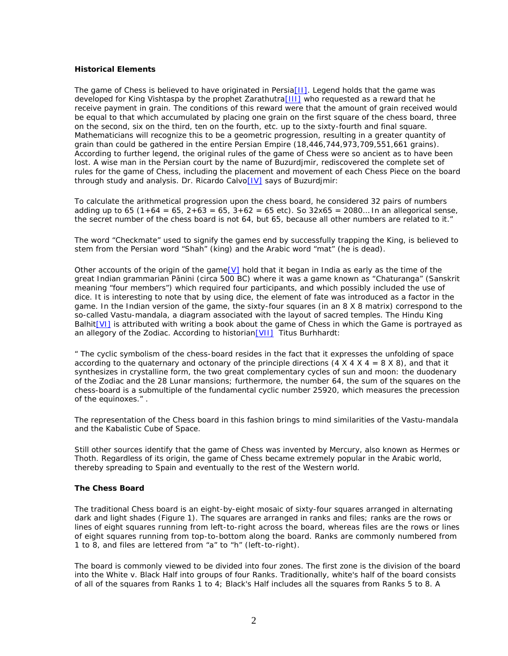## **Historical Elements**

The game of Chess is believed to have originated in Persia [II]. Legend holds that the game was developed for King Vishtaspa by the prophet Zarathutra[III] who requested as a reward that he receive payment in grain. The conditions of this reward were that the amount of grain received would be equal to that which accumulated by placing one grain on the first square of the chess board, three on the second, six on the third, ten on the fourth, etc. up to the sixty-fourth and final square. Mathematicians will recognize this to be a geometric progression, resulting in a greater quantity of grain than could be gathered in the entire Persian Empire (18,446,744,973,709,551,661 grains). According to further legend, the original rules of the game of Chess were so ancient as to have been lost. A wise man in the Persian court by the name of Buzurdjmir, rediscovered the complete set of rules for the game of Chess, including the placement and movement of each Chess Piece on the board through study and analysis. Dr. Ricardo Calvo[IV] says of Buzurdjmir:

*To calculate the arithmetical progression upon the chess board, he considered 32 pairs of numbers adding up to 65 (1+64 = 65, 2+63 = 65, 3+62 = 65 etc). So 32x65 = 2080… In an allegorical sense, the secret number of the chess board is not 64, but 65, because all other numbers are related to it."*

The word "Checkmate" used to signify the games end by successfully trapping the King, is believed to stem from the Persian word "Shah" (king) and the Arabic word "mat" (he is dead).

Other accounts of the origin of the game [V] hold that it began in India as early as the time of the great Indian grammarian P nini (circa 500 BC) where it was a game known as "Chaturanga" (Sanskrit meaning "four members") which required four participants, and which possibly included the use of dice. It is interesting to note that by using dice, the element of fate was introduced as a factor in the game. In the Indian version of the game, the sixty-four squares (in an 8 X 8 matrix) correspond to the so-called Vastu-mandala, a diagram associated with the layout of sacred temples. The Hindu King Balhit<sup>[VI]</sup> is attributed with writing a book about the game of Chess in which the Game is portrayed as an allegory of the Zodiac. According to historian[VII] Titus Burhhardt:

*" The cyclic symbolism of the chess-board resides in the fact that it expresses the unfolding of space according to the quaternary and octonary of the principle directions (4 X 4 X 4 = 8 X 8), and that it synthesizes in crystalline form, the two great complementary cycles of sun and moon: the duodenary of the Zodiac and the 28 Lunar mansions; furthermore, the number 64, the sum of the squares on the chess-board is a submultiple of the fundamental cyclic number 25920, which measures the precession* of the equinoxes." .<br>The representation of the Chess board in this fashion brings to mind similarities of the Vastu-mandala

and the Kabalistic Cube of Space.

Still other sources identify that the game of Chess was invented by Mercury, also known as Hermes or Thoth. Regardless of its origin, the game of Chess became extremely popular in the Arabic world, thereby spreading to Spain and eventually to the rest of the Western world.

## **The Chess Board**

The traditional Chess board is an eight-by-eight mosaic of sixty-four squares arranged in alternating dark and light shades (Figure 1). The squares are arranged in ranks and files; ranks are the rows or lines of eight squares running from left-to-right across the board, whereas files are the rows or lines of eight squares running from top-to-bottom along the board. Ranks are commonly numbered from 1 to 8, and files are lettered from "a" to "h" (left-to-right).

The board is commonly viewed to be divided into four zones. The first zone is the division of the board into the White v. Black Half into groups of four Ranks. Traditionally, white's half of the board consists of all of the squares from Ranks 1 to 4; Black's Half includes all the squares from Ranks 5 to 8. A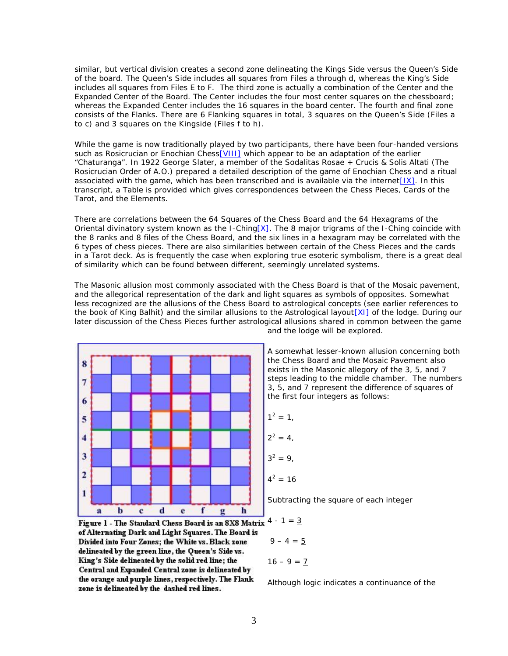similar, but vertical division creates a second zone delineating the Kings Side versus the Queen's Side of the board. The Queen's Side includes all squares from Files a through d, whereas the King's Side includes all squares from Files E to F. The third zone is actually a combination of the Center and the Expanded Center of the Board. The Center includes the four most center squares on the chessboard; whereas the Expanded Center includes the 16 squares in the board center. The fourth and final zone consists of the Flanks. There are 6 Flanking squares in total, 3 squares on the Queen's Side (Files a to c) and 3 squares on the Kingside (Files f to h).

While the game is now traditionally played by two participants, there have been four-handed versions such as Rosicrucian or Enochian Chess<sup>[VIII]</sup> which appear to be an adaptation of the earlier "*Chaturanga*". In 1922 George Slater, a member of the Sodalitas Rosae + Crucis & Solis Altati (The Rosicrucian Order of A.O.) prepared a detailed description of the game of Enochian Chess and a ritual associated with the game, which has been transcribed and is available via the internet $[IX]$ . In this transcript, a Table is provided which gives correspondences between the Chess Pieces, Cards of the Tarot, and the Elements.

There are correlations between the 64 Squares of the Chess Board and the 64 Hexagrams of the Oriental divinatory system known as the I-Ching[ $X$ ]. The 8 major trigrams of the I-Ching coincide with the 8 ranks and 8 files of the Chess Board, and the six lines in a hexagram may be correlated with the 6 types of chess pieces. There are also similarities between certain of the Chess Pieces and the cards in a Tarot deck. As is frequently the case when exploring true esoteric symbolism, there is a great deal of similarity which can be found between different, seemingly unrelated systems.

The Masonic allusion most commonly associated with the Chess Board is that of the Mosaic pavement, and the allegorical representation of the dark and light squares as symbols of opposites. Somewhat less recognized are the allusions of the Chess Board to astrological concepts (see earlier references to the book of King Balhit) and the similar allusions to the Astrological layout[XI] of the lodge. During our later discussion of the Chess Pieces further astrological allusions shared in common between the game



Figure 1 - The Standard Chess Board is an 8X8 Matrix of Alternating Dark and Light Squares. The Board is Divided into Four Zones; the White vs. Black zone delineated by the green line, the Queen's Side vs. King's Side delineated by the solid red line; the Central and Expanded Central zone is delineated by the orange and purple lines, respectively. The Flank zone is delineated by the dashed red lines.

and the lodge will be explored.

A somewhat lesser-known allusion concerning both the Chess Board and the Mosaic Pavement also exists in the Masonic allegory of the 3, 5, and 7 steps leading to the middle chamber. The numbers 3, 5, and 7 represent the difference of squares of the first four integers as follows:

$$
1^2=1,
$$

$$
2^2 = 4,
$$
  

$$
3^2 = 9,
$$

$$
4^2=16
$$

Subtracting the square of each integer

$$
4 - 1 = \underline{3}
$$
  

$$
9 - 4 = \underline{5}
$$
  

$$
16 - 9 = \underline{7}
$$

Although logic indicates a continuance of the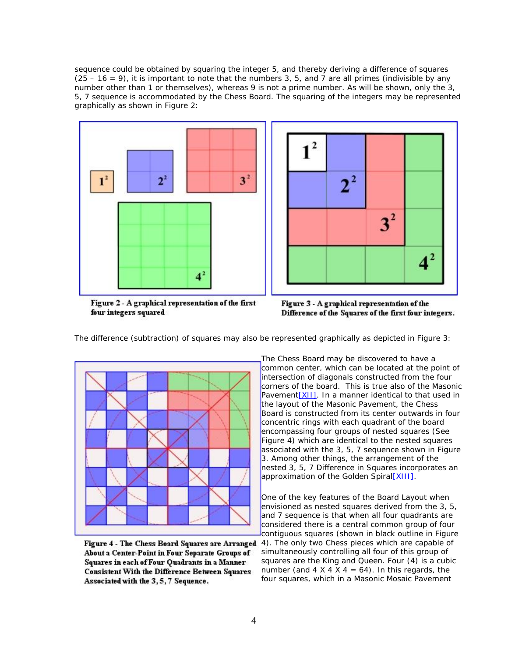sequence could be obtained by squaring the integer 5, and thereby deriving a difference of squares  $(25 - 16 = 9)$ , it is important to note that the numbers 3, 5, and 7 are all primes (indivisible by any number other than 1 or themselves), whereas 9 is not a prime number. As will be shown, only the 3, 5, 7 sequence is accommodated by the Chess Board. The squaring of the integers may be represented graphically as shown in Figure 2:





Figure 2 - A graphical representation of the first four integers squared



The difference (subtraction) of squares may also be represented graphically as depicted in Figure 3:



Figure 4 - The Chess Board Squares are Arranged About a Center-Point in Four Separate Groups of Squares in each of Four Ouadrants in a Manner **Consistent With the Difference Between Squares** Associated with the 3, 5, 7 Sequence.

The Chess Board may be discovered to have a common center, which can be located at the point of intersection of diagonals constructed from the four corners of the board. This is true also of the Masonic Pavement<sup>[XII]</sup>. In a manner identical to that used in the layout of the Masonic Pavement, the Chess Board is constructed from its center outwards in four concentric rings with each quadrant of the board encompassing four groups of nested squares (See Figure 4) which are identical to the nested squares associated with the 3, 5, 7 sequence shown in Figure 3. Among other things, the arrangement of the nested 3, 5, 7 Difference in Squares incorporates an approximation of the Golden Spiral[XIII].

One of the key features of the Board Layout when envisioned as nested squares derived from the 3, 5, and 7 sequence is that when all four quadrants are considered there is a central common group of four contiguous squares (shown in black outline in Figure

4). The only two Chess pieces which are capable of simultaneously controlling all four of this group of squares are the King and Queen. Four (4) is a cubic number (and  $4 \times 4 \times 4 = 64$ ). In this regards, the four squares, which in a Masonic Mosaic Pavement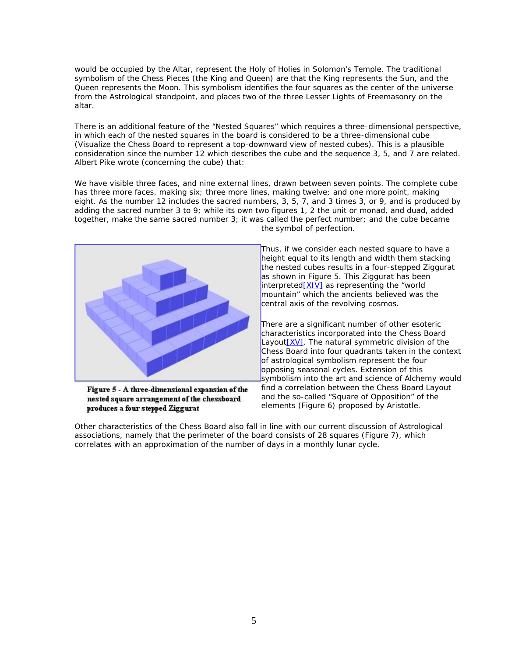would be occupied by the Altar, represent the Holy of Holies in Solomon's Temple. The traditional symbolism of the Chess Pieces (the King and Queen) are that the King represents the Sun, and the Queen represents the Moon. This symbolism identifies the four squares as the center of the universe from the Astrological standpoint, and places two of the three Lesser Lights of Freemasonry on the altar.

There is an additional feature of the "Nested Squares" which requires a three-dimensional perspective, in which each of the nested squares in the board is considered to be a three-dimensional cube (Visualize the Chess Board to represent a top-downward view of nested cubes). This is a plausible consideration since the number 12 which describes the cube and the sequence 3, 5, and 7 are related. Albert Pike wrote (concerning the cube) that:

*We have visible three faces, and nine external lines, drawn between seven points. The complete cube has three more faces, making six; three more lines, making twelve; and one more point, making eight. As the number 12 includes the sacred numbers, 3, 5, 7, and 3 times 3, or 9, and is produced by adding the sacred number 3 to 9; while its own two figures 1, 2 the unit or monad, and duad, added together, make the same sacred number 3; it was called the perfect number; and the cube became*



Figure 5 - A three-dimensional expansion of the nested square arrangement of the chessboard produces a four stepped Ziggurat

*the symbol of perfection.*

Thus, if we consider each nested square to have a height equal to its length and width them stacking the nested cubes results in a four-stepped Ziggurat as shown in Figure 5. This Ziggurat has been interpreted[XIV] as representing the "world mountain" which the ancients believed was the central axis of the revolving cosmos.

There are a significant number of other esoteric characteristics incorporated into the Chess Board Layout [XV]. The natural symmetric division of the Chess Board into four quadrants taken in the context of astrological symbolism represent the four opposing seasonal cycles. Extension of this symbolism into the art and science of Alchemy would find a correlation between the Chess Board Layout and the so-called "Square of Opposition" of the elements (Figure 6) proposed by Aristotle.

Other characteristics of the Chess Board also fall in line with our current discussion of Astrological associations, namely that the perimeter of the board consists of 28 squares (Figure 7), which correlates with an approximation of the number of days in a monthly lunar cycle.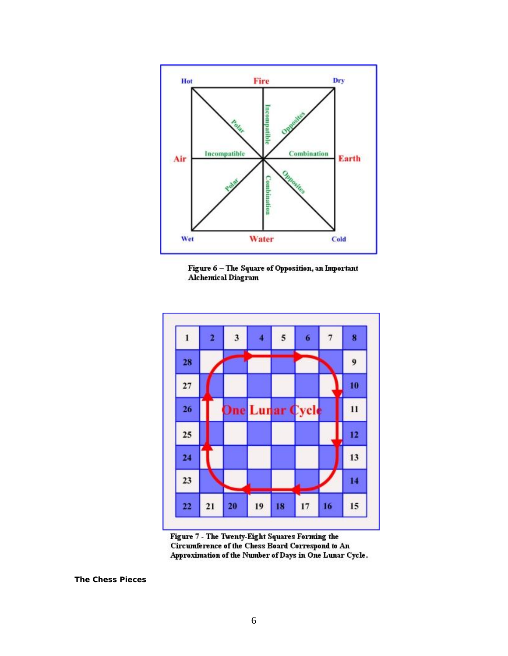





Figure 7 - The Twenty-Eight Squares Forming the Circumference of the Chess Board Correspond to An Approximation of the Number of Days in One Lunar Cycle.

**The Chess Pieces**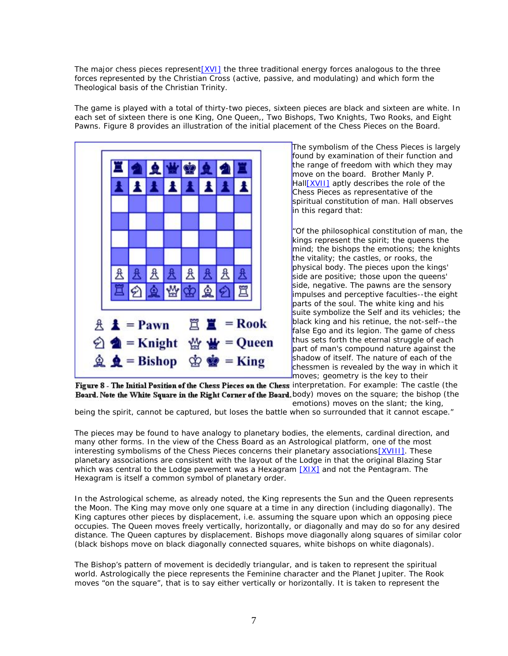The major chess pieces represent[XVI] the three traditional energy forces analogous to the three forces represented by the Christian Cross (active, passive, and modulating) and which form the Theological basis of the Christian Trinity.

The game is played with a total of thirty-two pieces, sixteen pieces are black and sixteen are white. In each set of sixteen there is one King, One Queen,, Two Bishops, Two Knights, Two Rooks, and Eight Pawns. Figure 8 provides an illustration of the initial placement of the Chess Pieces on the Board.



The symbolism of the Chess Pieces is largely found by examination of their function and the range of freedom with which they may move on the board. Brother Manly P. Hall[XVII] aptly describes the role of the Chess Pieces as representative of the spiritual constitution of man. Hall observes in this regard that:

*"Of the philosophical constitution of man, the kings represent the spirit; the queens the mind; the bishops the emotions; the knights the vitality; the castles, or rooks, the physical body. The pieces upon the kings' side are positive; those upon the queens' side, negative. The pawns are the sensory impulses and perceptive faculties--the eight parts of the soul. The white king and his suite symbolize the Self and its vehicles; the black king and his retinue, the not-self--the false Ego and its legion. The game of chess thus sets forth the eternal struggle of each part of man's compound nature against the shadow of itself. The nature of each of the chessmen is revealed by the way in which it moves; geometry is the key to their*

Figure 8 - The Initial Position of the Chess Pieces on the Chess interpretation. For example: The castle (the Board. Note the White Square in the Right Corner of the Board. body) moves on the square; the bishop (the *emotions) moves on the slant; the king,*

*being the spirit, cannot be captured, but loses the battle when so surrounded that it cannot escape."*

The pieces may be found to have analogy to planetary bodies, the elements, cardinal direction, and many other forms. In the view of the Chess Board as an Astrological platform, one of the most interesting symbolisms of the Chess Pieces concerns their planetary associations[XVIII]. These planetary associations are consistent with the layout of the Lodge in that the original Blazing Star which was central to the Lodge pavement was a Hexagram  $[X|X]$  and not the Pentagram. The Hexagram is itself a common symbol of planetary order.

In the Astrological scheme, as already noted, the King represents the Sun and the Queen represents the Moon. The King may move only one square at a time in any direction (including diagonally). The King captures other pieces by displacement, i.e. assuming the square upon which an opposing piece occupies. The Queen moves freely vertically, horizontally, or diagonally and may do so for any desired distance. The Queen captures by displacement. Bishops move diagonally along squares of similar color (black bishops move on black diagonally connected squares, white bishops on white diagonals).

The Bishop's pattern of movement is decidedly triangular, and is taken to represent the spiritual world. Astrologically the piece represents the Feminine character and the Planet Jupiter. The Rook moves "on the square", that is to say either vertically or horizontally. It is taken to represent the